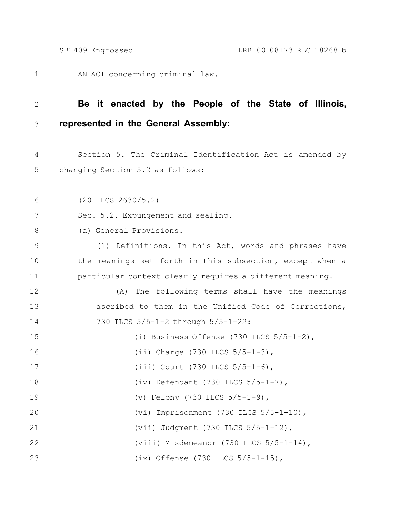AN ACT concerning criminal law. 1

## **Be it enacted by the People of the State of Illinois, represented in the General Assembly:** 2 3

Section 5. The Criminal Identification Act is amended by changing Section 5.2 as follows: 4 5

(20 ILCS 2630/5.2) 6

Sec. 5.2. Expungement and sealing. 7

(a) General Provisions. 8

(1) Definitions. In this Act, words and phrases have the meanings set forth in this subsection, except when a particular context clearly requires a different meaning. 9 10 11

(A) The following terms shall have the meanings ascribed to them in the Unified Code of Corrections, 730 ILCS 5/5-1-2 through 5/5-1-22: 12 13 14

| 15 | (i) Business Offense $(730$ ILCS $5/5-1-2)$ , |
|----|-----------------------------------------------|
| 16 | (ii) Charge (730 ILCS $5/5-1-3$ ),            |
| 17 | (iii) Court (730 ILCS $5/5-1-6$ ),            |
| 18 | (iv) Defendant $(730$ ILCS $5/5-1-7)$ ,       |
| 19 | (v) Felony (730 ILCS $5/5-1-9$ ),             |
| 20 | (vi) Imprisonment $(730$ ILCS $5/5-1-10)$ ,   |
| 21 | (vii) Judgment (730 ILCS $5/5-1-12$ ),        |
| 22 | (viii) Misdemeanor $(730$ ILCS $5/5-1-14)$ ,  |
| 23 | (ix) Offense $(730$ ILCS $5/5-1-15$ ),        |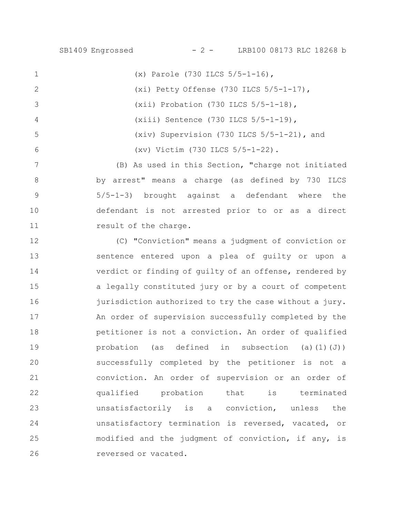SB1409 Engrossed - 2 - LRB100 08173 RLC 18268 b

(x) Parole (730 ILCS 5/5-1-16), (xi) Petty Offense (730 ILCS 5/5-1-17), (xii) Probation (730 ILCS 5/5-1-18), (xiii) Sentence (730 ILCS 5/5-1-19), (xiv) Supervision (730 ILCS 5/5-1-21), and (xv) Victim (730 ILCS 5/5-1-22). 1 2 3 4 5 6

(B) As used in this Section, "charge not initiated by arrest" means a charge (as defined by 730 ILCS 5/5-1-3) brought against a defendant where the defendant is not arrested prior to or as a direct result of the charge. 7 8 9 10 11

(C) "Conviction" means a judgment of conviction or sentence entered upon a plea of guilty or upon a verdict or finding of guilty of an offense, rendered by a legally constituted jury or by a court of competent jurisdiction authorized to try the case without a jury. An order of supervision successfully completed by the petitioner is not a conviction. An order of qualified probation (as defined in subsection (a) $(1)(J)$ ) successfully completed by the petitioner is not a conviction. An order of supervision or an order of qualified probation that is terminated unsatisfactorily is a conviction, unless the unsatisfactory termination is reversed, vacated, or modified and the judgment of conviction, if any, is reversed or vacated. 12 13 14 15 16 17 18 19 20 21 22 23 24 25 26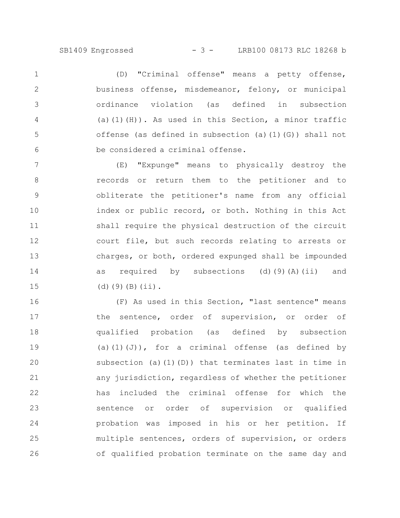## SB1409 Engrossed - 3 - LRB100 08173 RLC 18268 b

(D) "Criminal offense" means a petty offense, business offense, misdemeanor, felony, or municipal ordinance violation (as defined in subsection (a)(1)(H)). As used in this Section, a minor traffic offense (as defined in subsection (a)(1)(G)) shall not be considered a criminal offense. 1 2 3 4 5 6

(E) "Expunge" means to physically destroy the records or return them to the petitioner and to obliterate the petitioner's name from any official index or public record, or both. Nothing in this Act shall require the physical destruction of the circuit court file, but such records relating to arrests or charges, or both, ordered expunged shall be impounded as required by subsections (d)(9)(A)(ii) and (d)(9)(B)(ii). 7 8 9 10 11 12 13 14 15

(F) As used in this Section, "last sentence" means the sentence, order of supervision, or order of qualified probation (as defined by subsection (a)(1)(J)), for a criminal offense (as defined by subsection (a)(1)(D)) that terminates last in time in any jurisdiction, regardless of whether the petitioner has included the criminal offense for which the sentence or order of supervision or qualified probation was imposed in his or her petition. If multiple sentences, orders of supervision, or orders of qualified probation terminate on the same day and 16 17 18 19 20 21 22 23 24 25 26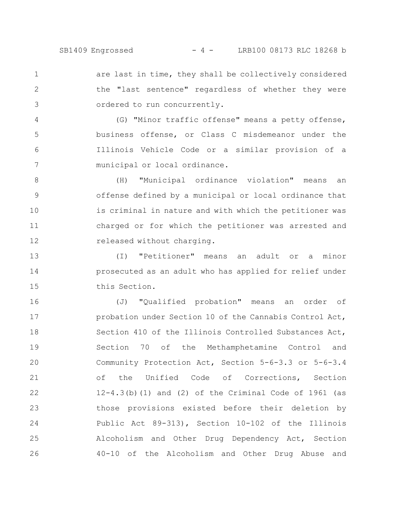are last in time, they shall be collectively considered the "last sentence" regardless of whether they were ordered to run concurrently. 1 2 3

(G) "Minor traffic offense" means a petty offense, business offense, or Class C misdemeanor under the Illinois Vehicle Code or a similar provision of a municipal or local ordinance. 4 5 6 7

(H) "Municipal ordinance violation" means an offense defined by a municipal or local ordinance that is criminal in nature and with which the petitioner was charged or for which the petitioner was arrested and released without charging. 8 9 10 11 12

(I) "Petitioner" means an adult or a minor prosecuted as an adult who has applied for relief under this Section. 13 14 15

(J) "Qualified probation" means an order of probation under Section 10 of the Cannabis Control Act, Section 410 of the Illinois Controlled Substances Act, Section 70 of the Methamphetamine Control and Community Protection Act, Section 5-6-3.3 or 5-6-3.4 of the Unified Code of Corrections, Section  $12-4.3$  (b)  $(1)$  and  $(2)$  of the Criminal Code of 1961 (as those provisions existed before their deletion by Public Act 89-313), Section 10-102 of the Illinois Alcoholism and Other Drug Dependency Act, Section 40-10 of the Alcoholism and Other Drug Abuse and 16 17 18 19 20 21 22 23 24 25 26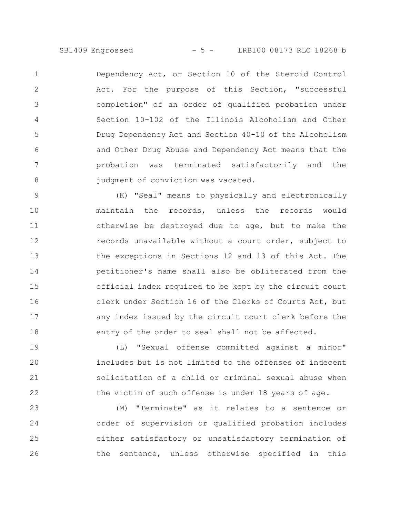SB1409 Engrossed - 5 - LRB100 08173 RLC 18268 b

Dependency Act, or Section 10 of the Steroid Control Act. For the purpose of this Section, "successful completion" of an order of qualified probation under Section 10-102 of the Illinois Alcoholism and Other Drug Dependency Act and Section 40-10 of the Alcoholism and Other Drug Abuse and Dependency Act means that the probation was terminated satisfactorily and the judgment of conviction was vacated. 1 2 3 4 5 6 7 8

(K) "Seal" means to physically and electronically maintain the records, unless the records would otherwise be destroyed due to age, but to make the records unavailable without a court order, subject to the exceptions in Sections 12 and 13 of this Act. The petitioner's name shall also be obliterated from the official index required to be kept by the circuit court clerk under Section 16 of the Clerks of Courts Act, but any index issued by the circuit court clerk before the entry of the order to seal shall not be affected. 9 10 11 12 13 14 15 16 17 18

(L) "Sexual offense committed against a minor" includes but is not limited to the offenses of indecent solicitation of a child or criminal sexual abuse when the victim of such offense is under 18 years of age. 19 20 21 22

(M) "Terminate" as it relates to a sentence or order of supervision or qualified probation includes either satisfactory or unsatisfactory termination of the sentence, unless otherwise specified in this 23 24 25 26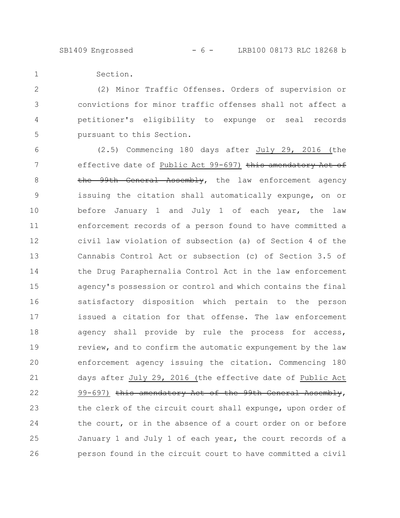Section. 1

(2) Minor Traffic Offenses. Orders of supervision or convictions for minor traffic offenses shall not affect a petitioner's eligibility to expunge or seal records pursuant to this Section. 2 3 4 5

(2.5) Commencing 180 days after July 29, 2016 (the effective date of Public Act 99-697) this amendatory Act of the 99th General Assembly, the law enforcement agency issuing the citation shall automatically expunge, on or before January 1 and July 1 of each year, the law enforcement records of a person found to have committed a civil law violation of subsection (a) of Section 4 of the Cannabis Control Act or subsection (c) of Section 3.5 of the Drug Paraphernalia Control Act in the law enforcement agency's possession or control and which contains the final satisfactory disposition which pertain to the person issued a citation for that offense. The law enforcement agency shall provide by rule the process for access, review, and to confirm the automatic expungement by the law enforcement agency issuing the citation. Commencing 180 days after July 29, 2016 (the effective date of Public Act 99-697) this amendatory Act of the 99th General Assembly, the clerk of the circuit court shall expunge, upon order of the court, or in the absence of a court order on or before January 1 and July 1 of each year, the court records of a person found in the circuit court to have committed a civil 6 7 8 9 10 11 12 13 14 15 16 17 18 19 20 21 22 23 24 25 26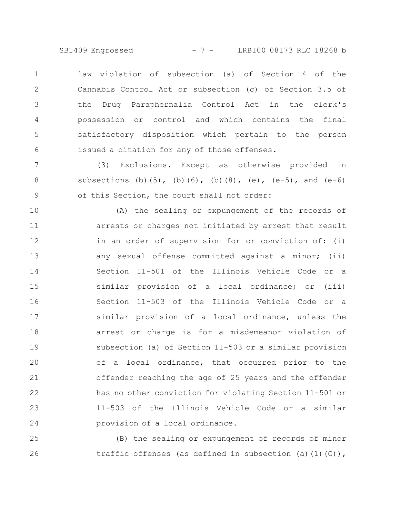SB1409 Engrossed - 7 - LRB100 08173 RLC 18268 b

law violation of subsection (a) of Section 4 of the Cannabis Control Act or subsection (c) of Section 3.5 of the Drug Paraphernalia Control Act in the clerk's possession or control and which contains the final satisfactory disposition which pertain to the person issued a citation for any of those offenses. 1 2 3 4 5 6

(3) Exclusions. Except as otherwise provided in subsections (b)(5), (b)(6), (b)(8), (e),  $(e-5)$ , and  $(e-6)$ of this Section, the court shall not order: 7 8 9

(A) the sealing or expungement of the records of arrests or charges not initiated by arrest that result in an order of supervision for or conviction of: (i) any sexual offense committed against a minor; (ii) Section 11-501 of the Illinois Vehicle Code or a similar provision of a local ordinance; or (iii) Section 11-503 of the Illinois Vehicle Code or a similar provision of a local ordinance, unless the arrest or charge is for a misdemeanor violation of subsection (a) of Section 11-503 or a similar provision of a local ordinance, that occurred prior to the offender reaching the age of 25 years and the offender has no other conviction for violating Section 11-501 or 11-503 of the Illinois Vehicle Code or a similar provision of a local ordinance. 10 11 12 13 14 15 16 17 18 19 20 21 22 23 24

(B) the sealing or expungement of records of minor traffic offenses (as defined in subsection (a)(1)(G)), 25 26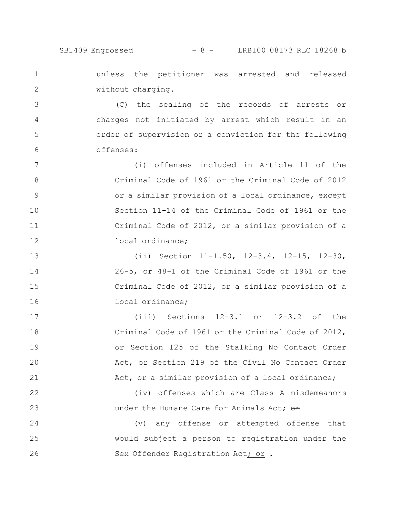SB1409 Engrossed - 8 - LRB100 08173 RLC 18268 b

unless the petitioner was arrested and released without charging. 1 2

(C) the sealing of the records of arrests or charges not initiated by arrest which result in an order of supervision or a conviction for the following offenses: 3 4 5 6

(i) offenses included in Article 11 of the Criminal Code of 1961 or the Criminal Code of 2012 or a similar provision of a local ordinance, except Section 11-14 of the Criminal Code of 1961 or the Criminal Code of 2012, or a similar provision of a local ordinance; 7 8 9 10 11 12

(ii) Section 11-1.50, 12-3.4, 12-15, 12-30, 26-5, or 48-1 of the Criminal Code of 1961 or the Criminal Code of 2012, or a similar provision of a local ordinance; 13 14 15 16

17

18

19

20

21

22

23

(iii) Sections 12-3.1 or 12-3.2 of the Criminal Code of 1961 or the Criminal Code of 2012, or Section 125 of the Stalking No Contact Order Act, or Section 219 of the Civil No Contact Order Act, or a similar provision of a local ordinance;

(iv) offenses which are Class A misdemeanors under the Humane Care for Animals Act;  $\Theta$ r

(v) any offense or attempted offense that would subject a person to registration under the Sex Offender Registration Act; or  $\div$ 24 25 26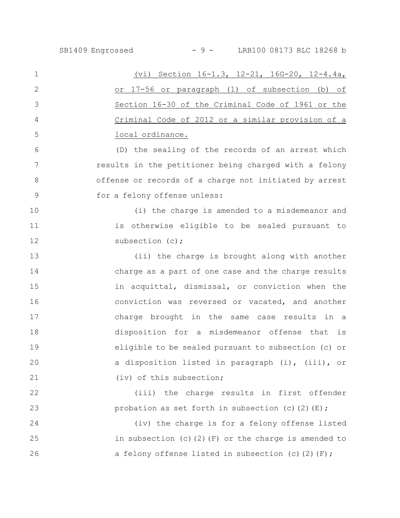| $\mathbf{1}$ | (vi) Section 16-1.3, 12-21, 16G-20, 12-4.4a,           |
|--------------|--------------------------------------------------------|
| 2            | or 17-56 or paragraph (1) of subsection (b) of         |
| 3            | Section 16-30 of the Criminal Code of 1961 or the      |
| 4            | Criminal Code of 2012 or a similar provision of a      |
| 5            | local ordinance.                                       |
| 6            | (D) the sealing of the records of an arrest which      |
| 7            | results in the petitioner being charged with a felony  |
| 8            | offense or records of a charge not initiated by arrest |
| 9            | for a felony offense unless:                           |
| 10           | (i) the charge is amended to a misdemeanor and         |
| 11           | is otherwise eligible to be sealed pursuant to         |
| 12           | subsection (c);                                        |
| 13           | (ii) the charge is brought along with another          |
| 14           | charge as a part of one case and the charge results    |
| 15           | in acquittal, dismissal, or conviction when the        |
| 16           | conviction was reversed or vacated, and another        |
| 17           | charge brought in the same case results in a           |
| 18           | disposition for a misdemeanor offense that is          |
| 19           | eligible to be sealed pursuant to subsection (c) or    |
| 20           | a disposition listed in paragraph (i), (iii), or       |
| 21           | (iv) of this subsection;                               |
| 22           | (iii) the charge results in first offender             |
| 23           | probation as set forth in subsection (c) $(2)$ (E);    |
| 24           | (iv) the charge is for a felony offense listed         |

in subsection (c)(2)(F) or the charge is amended to a felony offense listed in subsection (c)(2)(F); 25 26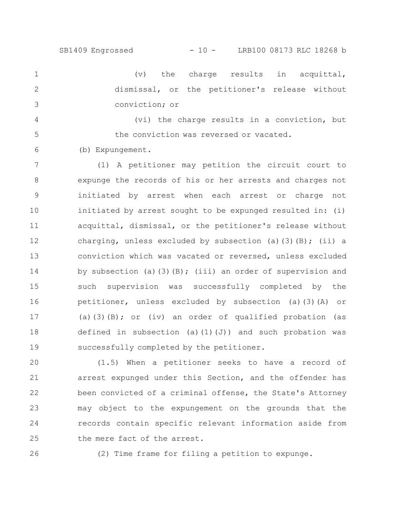(v) the charge results in acquittal, dismissal, or the petitioner's release without conviction; or 1 2 3

(vi) the charge results in a conviction, but the conviction was reversed or vacated. 4 5

(b) Expungement.

6

(1) A petitioner may petition the circuit court to expunge the records of his or her arrests and charges not initiated by arrest when each arrest or charge not initiated by arrest sought to be expunged resulted in: (i) acquittal, dismissal, or the petitioner's release without charging, unless excluded by subsection (a)(3)(B); (ii) a conviction which was vacated or reversed, unless excluded by subsection (a)(3)(B); (iii) an order of supervision and such supervision was successfully completed by the petitioner, unless excluded by subsection (a)(3)(A) or (a)(3)(B); or (iv) an order of qualified probation (as defined in subsection (a)(1)(J)) and such probation was successfully completed by the petitioner. 7 8 9 10 11 12 13 14 15 16 17 18 19

(1.5) When a petitioner seeks to have a record of arrest expunged under this Section, and the offender has been convicted of a criminal offense, the State's Attorney may object to the expungement on the grounds that the records contain specific relevant information aside from the mere fact of the arrest. 20 21 22 23 24 25

26

(2) Time frame for filing a petition to expunge.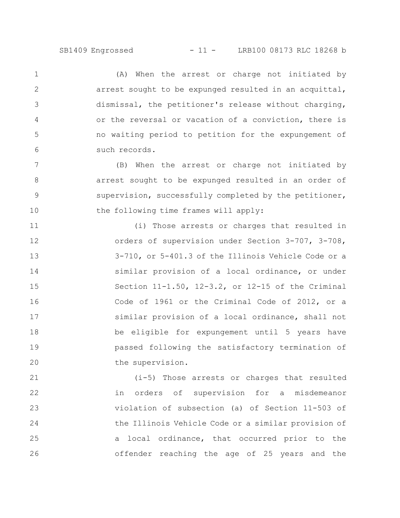(A) When the arrest or charge not initiated by arrest sought to be expunged resulted in an acquittal, dismissal, the petitioner's release without charging, or the reversal or vacation of a conviction, there is no waiting period to petition for the expungement of such records. 1 2 3 4 5 6

(B) When the arrest or charge not initiated by arrest sought to be expunged resulted in an order of supervision, successfully completed by the petitioner, the following time frames will apply: 7 8 9 10

(i) Those arrests or charges that resulted in orders of supervision under Section 3-707, 3-708, 3-710, or 5-401.3 of the Illinois Vehicle Code or a similar provision of a local ordinance, or under Section 11-1.50, 12-3.2, or 12-15 of the Criminal Code of 1961 or the Criminal Code of 2012, or a similar provision of a local ordinance, shall not be eligible for expungement until 5 years have passed following the satisfactory termination of the supervision. 11 12 13 14 15 16 17 18 19 20

(i-5) Those arrests or charges that resulted in orders of supervision for a misdemeanor violation of subsection (a) of Section 11-503 of the Illinois Vehicle Code or a similar provision of a local ordinance, that occurred prior to the offender reaching the age of 25 years and the 21 22 23 24 25 26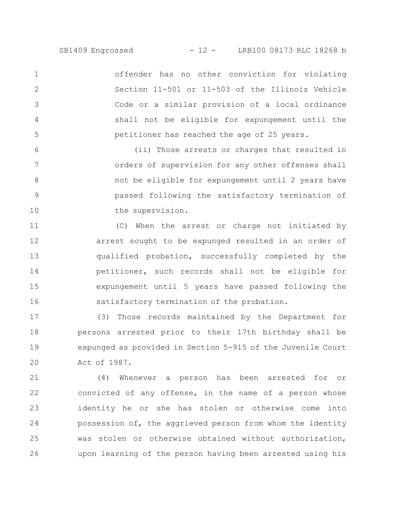offender has no other conviction for violating Section 11-501 or 11-503 of the Illinois Vehicle Code or a similar provision of a local ordinance shall not be eligible for expungement until the petitioner has reached the age of 25 years.

1

2

3

4

5

(ii) Those arrests or charges that resulted in orders of supervision for any other offenses shall not be eligible for expungement until 2 years have passed following the satisfactory termination of the supervision. 6 7 8 9 10

(C) When the arrest or charge not initiated by arrest sought to be expunged resulted in an order of qualified probation, successfully completed by the petitioner, such records shall not be eligible for expungement until 5 years have passed following the satisfactory termination of the probation. 11 12 13 14 15 16

(3) Those records maintained by the Department for persons arrested prior to their 17th birthday shall be expunged as provided in Section 5-915 of the Juvenile Court Act of 1987. 17 18 19 20

(4) Whenever a person has been arrested for or convicted of any offense, in the name of a person whose identity he or she has stolen or otherwise come into possession of, the aggrieved person from whom the identity was stolen or otherwise obtained without authorization, upon learning of the person having been arrested using his 21 22 23 24 25 26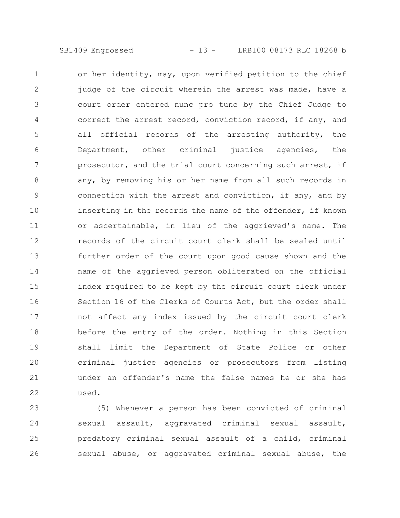SB1409 Engrossed - 13 - LRB100 08173 RLC 18268 b

or her identity, may, upon verified petition to the chief judge of the circuit wherein the arrest was made, have a court order entered nunc pro tunc by the Chief Judge to correct the arrest record, conviction record, if any, and all official records of the arresting authority, the Department, other criminal justice agencies, the prosecutor, and the trial court concerning such arrest, if any, by removing his or her name from all such records in connection with the arrest and conviction, if any, and by inserting in the records the name of the offender, if known or ascertainable, in lieu of the aggrieved's name. The records of the circuit court clerk shall be sealed until further order of the court upon good cause shown and the name of the aggrieved person obliterated on the official index required to be kept by the circuit court clerk under Section 16 of the Clerks of Courts Act, but the order shall not affect any index issued by the circuit court clerk before the entry of the order. Nothing in this Section shall limit the Department of State Police or other criminal justice agencies or prosecutors from listing under an offender's name the false names he or she has used. 1 2 3 4 5 6 7 8 9 10 11 12 13 14 15 16 17 18 19 20 21 22

(5) Whenever a person has been convicted of criminal sexual assault, aggravated criminal sexual assault, predatory criminal sexual assault of a child, criminal sexual abuse, or aggravated criminal sexual abuse, the 23 24 25 26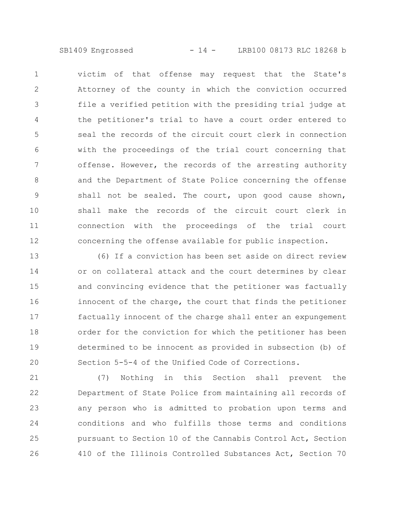SB1409 Engrossed - 14 - LRB100 08173 RLC 18268 b

victim of that offense may request that the State's Attorney of the county in which the conviction occurred file a verified petition with the presiding trial judge at the petitioner's trial to have a court order entered to seal the records of the circuit court clerk in connection with the proceedings of the trial court concerning that offense. However, the records of the arresting authority and the Department of State Police concerning the offense shall not be sealed. The court, upon good cause shown, shall make the records of the circuit court clerk in connection with the proceedings of the trial court concerning the offense available for public inspection. 1 2 3 4 5 6 7 8 9 10 11 12

(6) If a conviction has been set aside on direct review or on collateral attack and the court determines by clear and convincing evidence that the petitioner was factually innocent of the charge, the court that finds the petitioner factually innocent of the charge shall enter an expungement order for the conviction for which the petitioner has been determined to be innocent as provided in subsection (b) of Section 5-5-4 of the Unified Code of Corrections. 13 14 15 16 17 18 19 20

(7) Nothing in this Section shall prevent the Department of State Police from maintaining all records of any person who is admitted to probation upon terms and conditions and who fulfills those terms and conditions pursuant to Section 10 of the Cannabis Control Act, Section 410 of the Illinois Controlled Substances Act, Section 70 21 22 23 24 25 26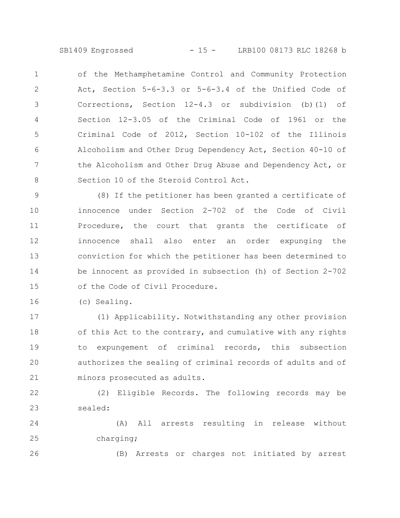SB1409 Engrossed - 15 - LRB100 08173 RLC 18268 b

of the Methamphetamine Control and Community Protection Act, Section 5-6-3.3 or 5-6-3.4 of the Unified Code of Corrections, Section 12-4.3 or subdivision (b)(1) of Section 12-3.05 of the Criminal Code of 1961 or the Criminal Code of 2012, Section 10-102 of the Illinois Alcoholism and Other Drug Dependency Act, Section 40-10 of the Alcoholism and Other Drug Abuse and Dependency Act, or Section 10 of the Steroid Control Act. 1 2 3 4 5 6 7 8

(8) If the petitioner has been granted a certificate of innocence under Section 2-702 of the Code of Civil Procedure, the court that grants the certificate of innocence shall also enter an order expunging the conviction for which the petitioner has been determined to be innocent as provided in subsection (h) of Section 2-702 of the Code of Civil Procedure. 9 10 11 12 13 14 15

(c) Sealing. 16

26

(1) Applicability. Notwithstanding any other provision of this Act to the contrary, and cumulative with any rights to expungement of criminal records, this subsection authorizes the sealing of criminal records of adults and of minors prosecuted as adults. 17 18 19 20 21

(2) Eligible Records. The following records may be sealed: 22 23

(A) All arrests resulting in release without charging; 24 25

(B) Arrests or charges not initiated by arrest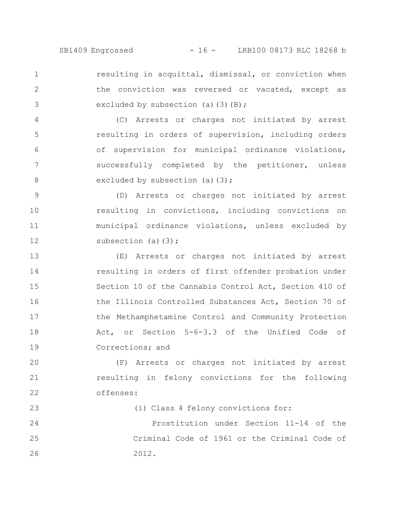resulting in acquittal, dismissal, or conviction when the conviction was reversed or vacated, except as excluded by subsection (a)(3)(B); 1 2 3

(C) Arrests or charges not initiated by arrest resulting in orders of supervision, including orders of supervision for municipal ordinance violations, successfully completed by the petitioner, unless excluded by subsection (a)(3); 4 5 6 7 8

(D) Arrests or charges not initiated by arrest resulting in convictions, including convictions on municipal ordinance violations, unless excluded by subsection (a) $(3)$ ; 9 10 11 12

(E) Arrests or charges not initiated by arrest resulting in orders of first offender probation under Section 10 of the Cannabis Control Act, Section 410 of the Illinois Controlled Substances Act, Section 70 of the Methamphetamine Control and Community Protection Act, or Section 5-6-3.3 of the Unified Code of Corrections; and 13 14 15 16 17 18 19

(F) Arrests or charges not initiated by arrest resulting in felony convictions for the following offenses: 20 21 22

23

(i) Class 4 felony convictions for:

Prostitution under Section 11-14 of the Criminal Code of 1961 or the Criminal Code of 2012. 24 25 26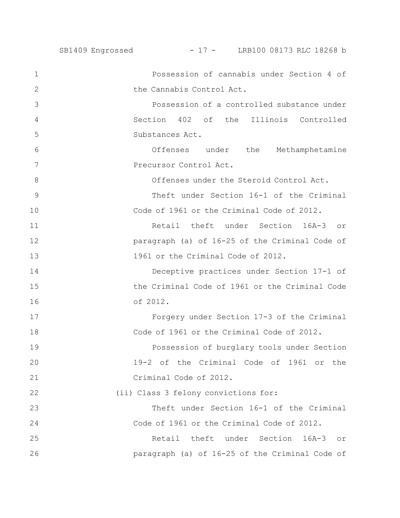SB1409 Engrossed - 17 - LRB100 08173 RLC 18268 b

Possession of cannabis under Section 4 of the Cannabis Control Act. Possession of a controlled substance under Section 402 of the Illinois Controlled Substances Act. Offenses under the Methamphetamine Precursor Control Act. Offenses under the Steroid Control Act. Theft under Section 16-1 of the Criminal Code of 1961 or the Criminal Code of 2012. Retail theft under Section 16A-3 or paragraph (a) of 16-25 of the Criminal Code of 1961 or the Criminal Code of 2012. Deceptive practices under Section 17-1 of the Criminal Code of 1961 or the Criminal Code of 2012. Forgery under Section 17-3 of the Criminal Code of 1961 or the Criminal Code of 2012. Possession of burglary tools under Section 19-2 of the Criminal Code of 1961 or the Criminal Code of 2012. (ii) Class 3 felony convictions for: Theft under Section 16-1 of the Criminal Code of 1961 or the Criminal Code of 2012. Retail theft under Section 16A-3 or paragraph (a) of 16-25 of the Criminal Code of 1 2 3 4 5 6 7 8 9 10 11 12 13 14 15 16 17 18 19 20 21 22 23 24 25 26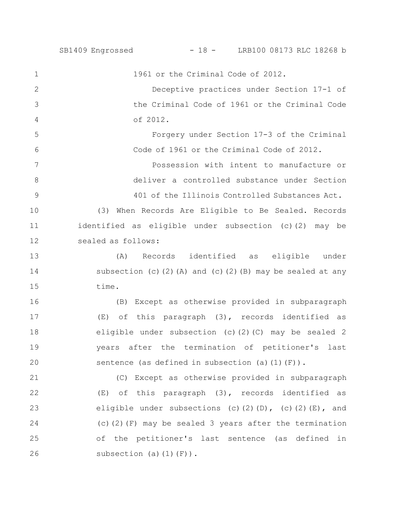1961 or the Criminal Code of 2012. Deceptive practices under Section 17-1 of the Criminal Code of 1961 or the Criminal Code of 2012. Forgery under Section 17-3 of the Criminal Code of 1961 or the Criminal Code of 2012. Possession with intent to manufacture or deliver a controlled substance under Section 401 of the Illinois Controlled Substances Act. (3) When Records Are Eligible to Be Sealed. Records identified as eligible under subsection (c)(2) may be sealed as follows: (A) Records identified as eligible under subsection (c)(2)(A) and (c)(2)(B) may be sealed at any time. (B) Except as otherwise provided in subparagraph (E) of this paragraph (3), records identified as eligible under subsection (c)(2)(C) may be sealed 2 years after the termination of petitioner's last sentence (as defined in subsection (a)(1)(F)). (C) Except as otherwise provided in subparagraph (E) of this paragraph (3), records identified as eligible under subsections (c)(2)(D), (c)(2)(E), and (c)(2)(F) may be sealed 3 years after the termination of the petitioner's last sentence (as defined in 1 2 3 4 5 6 7 8 9 10 11 12 13 14 15 16 17 18 19 20 21 22 23 24 25

subsection (a) $(1)(F)$ ). 26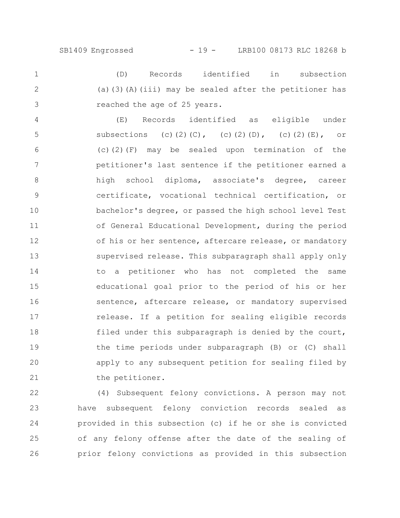(D) Records identified in subsection (a)(3)(A)(iii) may be sealed after the petitioner has reached the age of 25 years. 1 2 3

(E) Records identified as eligible under subsections (c)(2)(C), (c)(2)(D), (c)(2)(E), or (c)(2)(F) may be sealed upon termination of the petitioner's last sentence if the petitioner earned a high school diploma, associate's degree, career certificate, vocational technical certification, or bachelor's degree, or passed the high school level Test of General Educational Development, during the period of his or her sentence, aftercare release, or mandatory supervised release. This subparagraph shall apply only to a petitioner who has not completed the same educational goal prior to the period of his or her sentence, aftercare release, or mandatory supervised release. If a petition for sealing eligible records filed under this subparagraph is denied by the court, the time periods under subparagraph (B) or (C) shall apply to any subsequent petition for sealing filed by the petitioner. 4 5 6 7 8 9 10 11 12 13 14 15 16 17 18 19 20 21

(4) Subsequent felony convictions. A person may not have subsequent felony conviction records sealed as provided in this subsection (c) if he or she is convicted of any felony offense after the date of the sealing of prior felony convictions as provided in this subsection 22 23 24 25 26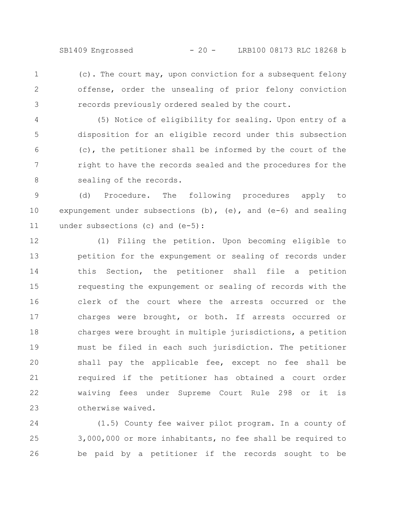(c). The court may, upon conviction for a subsequent felony offense, order the unsealing of prior felony conviction records previously ordered sealed by the court. 1 2 3

(5) Notice of eligibility for sealing. Upon entry of a disposition for an eligible record under this subsection (c), the petitioner shall be informed by the court of the right to have the records sealed and the procedures for the sealing of the records. 4 5 6 7 8

(d) Procedure. The following procedures apply to expungement under subsections (b), (e), and (e-6) and sealing under subsections (c) and (e-5): 9 10 11

(1) Filing the petition. Upon becoming eligible to petition for the expungement or sealing of records under this Section, the petitioner shall file a petition requesting the expungement or sealing of records with the clerk of the court where the arrests occurred or the charges were brought, or both. If arrests occurred or charges were brought in multiple jurisdictions, a petition must be filed in each such jurisdiction. The petitioner shall pay the applicable fee, except no fee shall be required if the petitioner has obtained a court order waiving fees under Supreme Court Rule 298 or it is otherwise waived. 12 13 14 15 16 17 18 19 20 21 22 23

(1.5) County fee waiver pilot program. In a county of 3,000,000 or more inhabitants, no fee shall be required to be paid by a petitioner if the records sought to be 24 25 26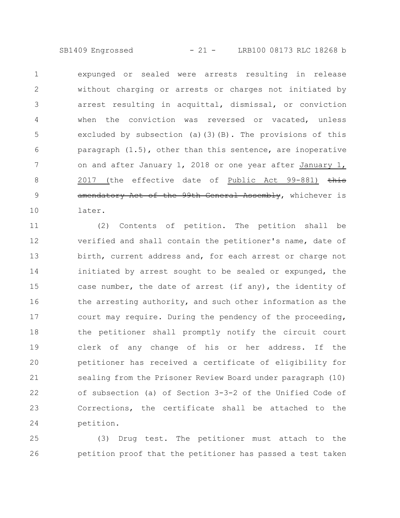SB1409 Engrossed - 21 - LRB100 08173 RLC 18268 b

expunged or sealed were arrests resulting in release without charging or arrests or charges not initiated by arrest resulting in acquittal, dismissal, or conviction when the conviction was reversed or vacated, unless excluded by subsection (a)(3)(B). The provisions of this paragraph  $(1.5)$ , other than this sentence, are inoperative on and after January 1, 2018 or one year after January 1, 2017 (the effective date of Public Act 99-881) this amendatory Act of the 99th General Assembly, whichever is later. 1 2 3 4 5 6 7 8 9 10

(2) Contents of petition. The petition shall be verified and shall contain the petitioner's name, date of birth, current address and, for each arrest or charge not initiated by arrest sought to be sealed or expunged, the case number, the date of arrest (if any), the identity of the arresting authority, and such other information as the court may require. During the pendency of the proceeding, the petitioner shall promptly notify the circuit court clerk of any change of his or her address. If the petitioner has received a certificate of eligibility for sealing from the Prisoner Review Board under paragraph (10) of subsection (a) of Section 3-3-2 of the Unified Code of Corrections, the certificate shall be attached to the petition. 11 12 13 14 15 16 17 18 19 20 21 22 23 24

(3) Drug test. The petitioner must attach to the petition proof that the petitioner has passed a test taken 25 26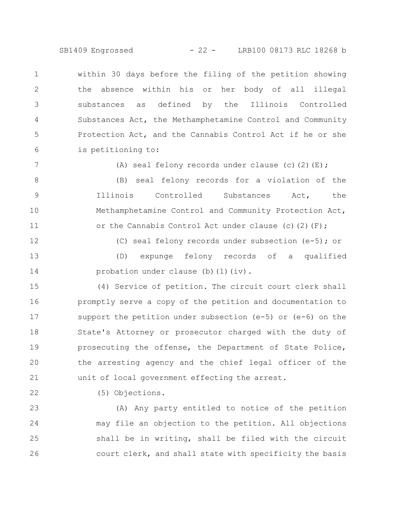SB1409 Engrossed - 22 - LRB100 08173 RLC 18268 b

within 30 days before the filing of the petition showing the absence within his or her body of all illegal substances as defined by the Illinois Controlled Substances Act, the Methamphetamine Control and Community Protection Act, and the Cannabis Control Act if he or she is petitioning to: 1 2 3 4 5 6

(A) seal felony records under clause (c)(2)(E);

(B) seal felony records for a violation of the Illinois Controlled Substances Act, the Methamphetamine Control and Community Protection Act, or the Cannabis Control Act under clause (c)(2)(F); 8 9 10 11

(C) seal felony records under subsection (e-5); or (D) expunge felony records of a qualified probation under clause (b)(1)(iv). 12 13 14

(4) Service of petition. The circuit court clerk shall promptly serve a copy of the petition and documentation to support the petition under subsection (e-5) or (e-6) on the State's Attorney or prosecutor charged with the duty of prosecuting the offense, the Department of State Police, the arresting agency and the chief legal officer of the unit of local government effecting the arrest. 15 16 17 18 19 20 21

22

7

(5) Objections.

(A) Any party entitled to notice of the petition may file an objection to the petition. All objections shall be in writing, shall be filed with the circuit court clerk, and shall state with specificity the basis 23 24 25 26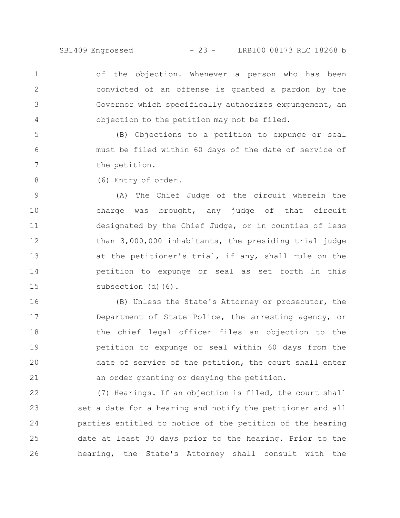of the objection. Whenever a person who has been convicted of an offense is granted a pardon by the Governor which specifically authorizes expungement, an objection to the petition may not be filed. 1 2 3 4

(B) Objections to a petition to expunge or seal must be filed within 60 days of the date of service of the petition. 5 6 7

(6) Entry of order. 8

(A) The Chief Judge of the circuit wherein the charge was brought, any judge of that circuit designated by the Chief Judge, or in counties of less than 3,000,000 inhabitants, the presiding trial judge at the petitioner's trial, if any, shall rule on the petition to expunge or seal as set forth in this subsection (d)(6). 9 10 11 12 13 14 15

(B) Unless the State's Attorney or prosecutor, the Department of State Police, the arresting agency, or the chief legal officer files an objection to the petition to expunge or seal within 60 days from the date of service of the petition, the court shall enter an order granting or denying the petition. 16 17 18 19 20 21

(7) Hearings. If an objection is filed, the court shall set a date for a hearing and notify the petitioner and all parties entitled to notice of the petition of the hearing date at least 30 days prior to the hearing. Prior to the hearing, the State's Attorney shall consult with the 22 23 24 25 26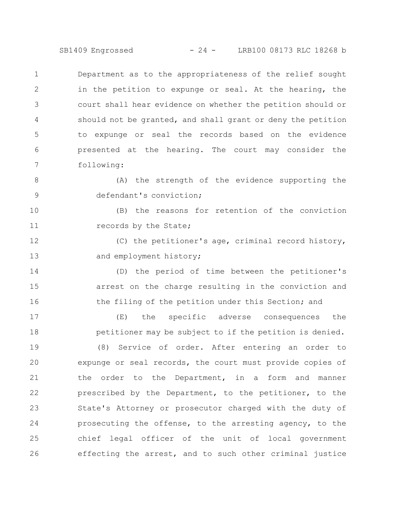SB1409 Engrossed - 24 - LRB100 08173 RLC 18268 b

Department as to the appropriateness of the relief sought in the petition to expunge or seal. At the hearing, the court shall hear evidence on whether the petition should or should not be granted, and shall grant or deny the petition to expunge or seal the records based on the evidence presented at the hearing. The court may consider the following: 1 2 3 4 5 6 7

(A) the strength of the evidence supporting the defendant's conviction; 8 9

(B) the reasons for retention of the conviction records by the State; 10 11

(C) the petitioner's age, criminal record history, and employment history; 12 13

(D) the period of time between the petitioner's arrest on the charge resulting in the conviction and the filing of the petition under this Section; and 14 15 16

(E) the specific adverse consequences the petitioner may be subject to if the petition is denied. (8) Service of order. After entering an order to expunge or seal records, the court must provide copies of the order to the Department, in a form and manner prescribed by the Department, to the petitioner, to the State's Attorney or prosecutor charged with the duty of prosecuting the offense, to the arresting agency, to the chief legal officer of the unit of local government effecting the arrest, and to such other criminal justice 17 18 19 20 21 22 23 24 25 26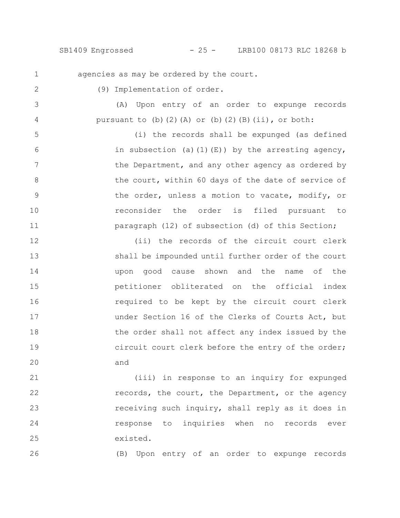SB1409 Engrossed - 25 - LRB100 08173 RLC 18268 b

agencies as may be ordered by the court.

1 2

3

4

5

6

7

8

9

10

11

26

(9) Implementation of order.

(A) Upon entry of an order to expunge records pursuant to (b)(2)(A) or (b)(2)(B)(ii), or both:

(i) the records shall be expunged (as defined in subsection (a)(1)(E)) by the arresting agency, the Department, and any other agency as ordered by the court, within 60 days of the date of service of the order, unless a motion to vacate, modify, or reconsider the order is filed pursuant to paragraph (12) of subsection (d) of this Section;

(ii) the records of the circuit court clerk shall be impounded until further order of the court upon good cause shown and the name of the petitioner obliterated on the official index required to be kept by the circuit court clerk under Section 16 of the Clerks of Courts Act, but the order shall not affect any index issued by the circuit court clerk before the entry of the order; and 12 13 14 15 16 17 18 19 20

(iii) in response to an inquiry for expunged records, the court, the Department, or the agency receiving such inquiry, shall reply as it does in response to inquiries when no records ever existed. 21 22 23 24 25

(B) Upon entry of an order to expunge records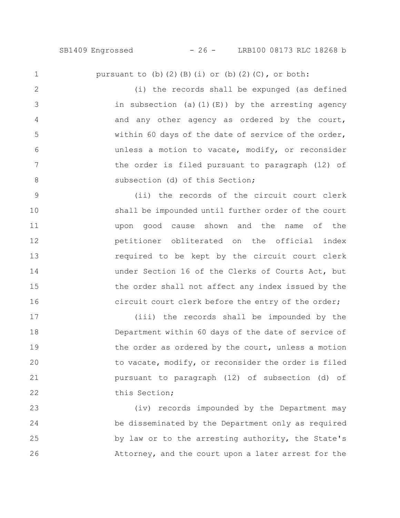1

pursuant to  $(b)$   $(2)$   $(B)$   $(i)$  or  $(b)$   $(2)$   $(C)$ , or both:

(i) the records shall be expunged (as defined in subsection (a)(1)(E)) by the arresting agency and any other agency as ordered by the court, within 60 days of the date of service of the order, unless a motion to vacate, modify, or reconsider the order is filed pursuant to paragraph (12) of subsection (d) of this Section; 2 3 4 5 6 7 8

(ii) the records of the circuit court clerk shall be impounded until further order of the court upon good cause shown and the name of the petitioner obliterated on the official index required to be kept by the circuit court clerk under Section 16 of the Clerks of Courts Act, but the order shall not affect any index issued by the circuit court clerk before the entry of the order; 9 10 11 12 13 14 15 16

(iii) the records shall be impounded by the Department within 60 days of the date of service of the order as ordered by the court, unless a motion to vacate, modify, or reconsider the order is filed pursuant to paragraph (12) of subsection (d) of this Section; 17 18 19 20 21 22

(iv) records impounded by the Department may be disseminated by the Department only as required by law or to the arresting authority, the State's Attorney, and the court upon a later arrest for the 23 24 25 26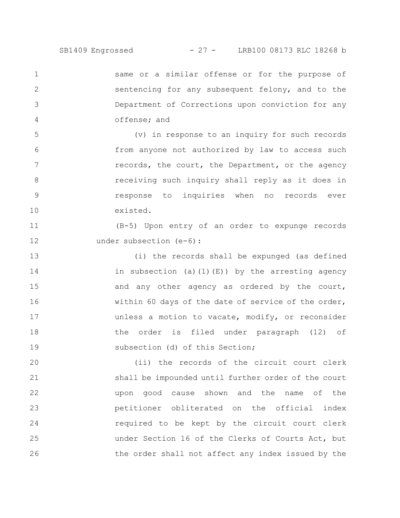same or a similar offense or for the purpose of sentencing for any subsequent felony, and to the Department of Corrections upon conviction for any offense; and 1 2 3 4

5

6

7

8

9

10

(v) in response to an inquiry for such records from anyone not authorized by law to access such records, the court, the Department, or the agency receiving such inquiry shall reply as it does in response to inquiries when no records ever existed.

(B-5) Upon entry of an order to expunge records under subsection (e-6): 11 12

(i) the records shall be expunged (as defined in subsection (a)(1)(E)) by the arresting agency and any other agency as ordered by the court, within 60 days of the date of service of the order, unless a motion to vacate, modify, or reconsider the order is filed under paragraph (12) of subsection (d) of this Section; 13 14 15 16 17 18 19

(ii) the records of the circuit court clerk shall be impounded until further order of the court upon good cause shown and the name of the petitioner obliterated on the official index required to be kept by the circuit court clerk under Section 16 of the Clerks of Courts Act, but the order shall not affect any index issued by the 20 21 22 23 24 25 26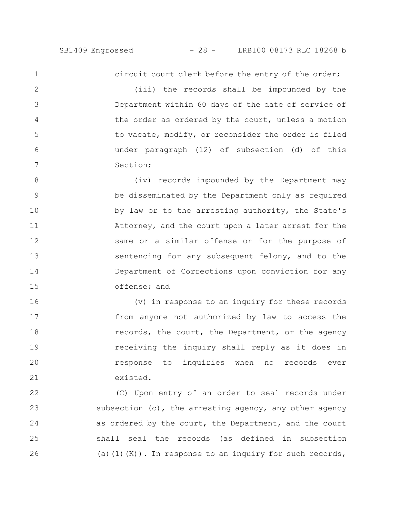1

2

3

4

5

6

7

circuit court clerk before the entry of the order;

(iii) the records shall be impounded by the Department within 60 days of the date of service of the order as ordered by the court, unless a motion to vacate, modify, or reconsider the order is filed under paragraph (12) of subsection (d) of this Section;

(iv) records impounded by the Department may be disseminated by the Department only as required by law or to the arresting authority, the State's Attorney, and the court upon a later arrest for the same or a similar offense or for the purpose of sentencing for any subsequent felony, and to the Department of Corrections upon conviction for any offense; and 8 9 10 11 12 13 14 15

(v) in response to an inquiry for these records from anyone not authorized by law to access the records, the court, the Department, or the agency receiving the inquiry shall reply as it does in response to inquiries when no records ever existed. 16 17 18 19 20 21

(C) Upon entry of an order to seal records under subsection  $(c)$ , the arresting agency, any other agency as ordered by the court, the Department, and the court shall seal the records (as defined in subsection (a)(1)(K)). In response to an inquiry for such records, 22 23 24 25 26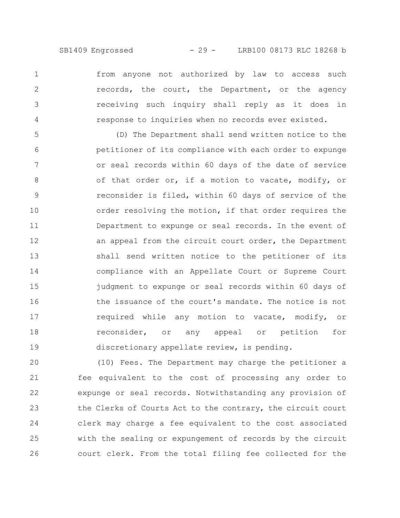from anyone not authorized by law to access such records, the court, the Department, or the agency receiving such inquiry shall reply as it does in response to inquiries when no records ever existed. 1 2 3 4

(D) The Department shall send written notice to the petitioner of its compliance with each order to expunge or seal records within 60 days of the date of service of that order or, if a motion to vacate, modify, or reconsider is filed, within 60 days of service of the order resolving the motion, if that order requires the Department to expunge or seal records. In the event of an appeal from the circuit court order, the Department shall send written notice to the petitioner of its compliance with an Appellate Court or Supreme Court judgment to expunge or seal records within 60 days of the issuance of the court's mandate. The notice is not required while any motion to vacate, modify, or reconsider, or any appeal or petition for discretionary appellate review, is pending. 5 6 7 8 9 10 11 12 13 14 15 16 17 18 19

(10) Fees. The Department may charge the petitioner a fee equivalent to the cost of processing any order to expunge or seal records. Notwithstanding any provision of the Clerks of Courts Act to the contrary, the circuit court clerk may charge a fee equivalent to the cost associated with the sealing or expungement of records by the circuit court clerk. From the total filing fee collected for the 20 21 22 23 24 25 26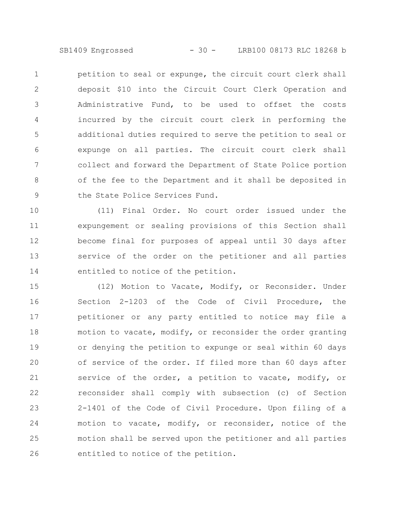SB1409 Engrossed - 30 - LRB100 08173 RLC 18268 b

petition to seal or expunge, the circuit court clerk shall deposit \$10 into the Circuit Court Clerk Operation and Administrative Fund, to be used to offset the costs incurred by the circuit court clerk in performing the additional duties required to serve the petition to seal or expunge on all parties. The circuit court clerk shall collect and forward the Department of State Police portion of the fee to the Department and it shall be deposited in the State Police Services Fund. 1 2 3 4 5 6 7 8 9

(11) Final Order. No court order issued under the expungement or sealing provisions of this Section shall become final for purposes of appeal until 30 days after service of the order on the petitioner and all parties entitled to notice of the petition. 10 11 12 13 14

(12) Motion to Vacate, Modify, or Reconsider. Under Section 2-1203 of the Code of Civil Procedure, the petitioner or any party entitled to notice may file a motion to vacate, modify, or reconsider the order granting or denying the petition to expunge or seal within 60 days of service of the order. If filed more than 60 days after service of the order, a petition to vacate, modify, or reconsider shall comply with subsection (c) of Section 2-1401 of the Code of Civil Procedure. Upon filing of a motion to vacate, modify, or reconsider, notice of the motion shall be served upon the petitioner and all parties entitled to notice of the petition. 15 16 17 18 19 20 21 22 23 24 25 26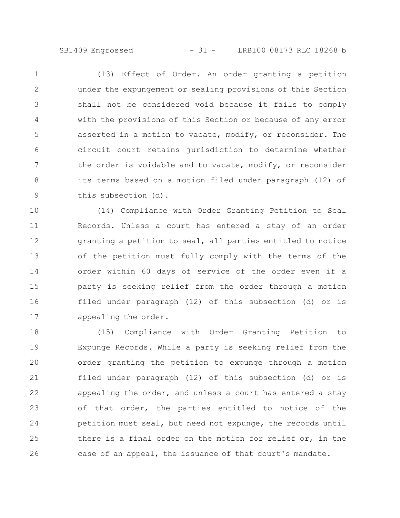SB1409 Engrossed - 31 - LRB100 08173 RLC 18268 b

(13) Effect of Order. An order granting a petition under the expungement or sealing provisions of this Section shall not be considered void because it fails to comply with the provisions of this Section or because of any error asserted in a motion to vacate, modify, or reconsider. The circuit court retains jurisdiction to determine whether the order is voidable and to vacate, modify, or reconsider its terms based on a motion filed under paragraph (12) of this subsection (d). 1 2 3 4 5 6 7 8 9

(14) Compliance with Order Granting Petition to Seal Records. Unless a court has entered a stay of an order granting a petition to seal, all parties entitled to notice of the petition must fully comply with the terms of the order within 60 days of service of the order even if a party is seeking relief from the order through a motion filed under paragraph (12) of this subsection (d) or is appealing the order. 10 11 12 13 14 15 16 17

(15) Compliance with Order Granting Petition to Expunge Records. While a party is seeking relief from the order granting the petition to expunge through a motion filed under paragraph (12) of this subsection (d) or is appealing the order, and unless a court has entered a stay of that order, the parties entitled to notice of the petition must seal, but need not expunge, the records until there is a final order on the motion for relief or, in the case of an appeal, the issuance of that court's mandate. 18 19 20 21 22 23 24 25 26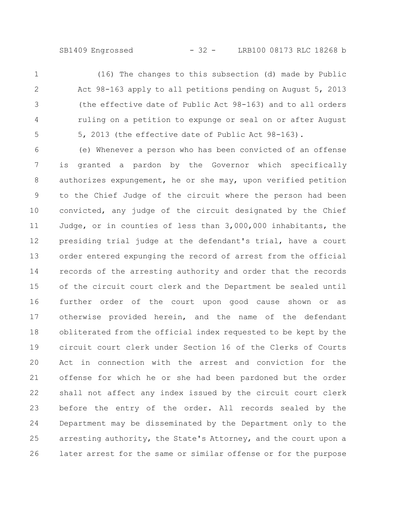SB1409 Engrossed - 32 - LRB100 08173 RLC 18268 b

(16) The changes to this subsection (d) made by Public Act 98-163 apply to all petitions pending on August 5, 2013 (the effective date of Public Act 98-163) and to all orders ruling on a petition to expunge or seal on or after August 5, 2013 (the effective date of Public Act 98-163). 1 2 3 4 5

(e) Whenever a person who has been convicted of an offense is granted a pardon by the Governor which specifically authorizes expungement, he or she may, upon verified petition to the Chief Judge of the circuit where the person had been convicted, any judge of the circuit designated by the Chief Judge, or in counties of less than 3,000,000 inhabitants, the presiding trial judge at the defendant's trial, have a court order entered expunging the record of arrest from the official records of the arresting authority and order that the records of the circuit court clerk and the Department be sealed until further order of the court upon good cause shown or as otherwise provided herein, and the name of the defendant obliterated from the official index requested to be kept by the circuit court clerk under Section 16 of the Clerks of Courts Act in connection with the arrest and conviction for the offense for which he or she had been pardoned but the order shall not affect any index issued by the circuit court clerk before the entry of the order. All records sealed by the Department may be disseminated by the Department only to the arresting authority, the State's Attorney, and the court upon a later arrest for the same or similar offense or for the purpose 6 7 8 9 10 11 12 13 14 15 16 17 18 19 20 21 22 23 24 25 26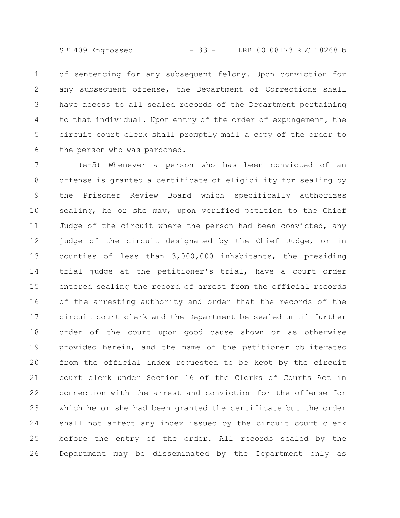SB1409 Engrossed - 33 - LRB100 08173 RLC 18268 b

of sentencing for any subsequent felony. Upon conviction for any subsequent offense, the Department of Corrections shall have access to all sealed records of the Department pertaining to that individual. Upon entry of the order of expungement, the circuit court clerk shall promptly mail a copy of the order to the person who was pardoned. 1 2 3 4 5 6

(e-5) Whenever a person who has been convicted of an offense is granted a certificate of eligibility for sealing by the Prisoner Review Board which specifically authorizes sealing, he or she may, upon verified petition to the Chief Judge of the circuit where the person had been convicted, any judge of the circuit designated by the Chief Judge, or in counties of less than 3,000,000 inhabitants, the presiding trial judge at the petitioner's trial, have a court order entered sealing the record of arrest from the official records of the arresting authority and order that the records of the circuit court clerk and the Department be sealed until further order of the court upon good cause shown or as otherwise provided herein, and the name of the petitioner obliterated from the official index requested to be kept by the circuit court clerk under Section 16 of the Clerks of Courts Act in connection with the arrest and conviction for the offense for which he or she had been granted the certificate but the order shall not affect any index issued by the circuit court clerk before the entry of the order. All records sealed by the Department may be disseminated by the Department only as 7 8 9 10 11 12 13 14 15 16 17 18 19 20 21 22 23 24 25 26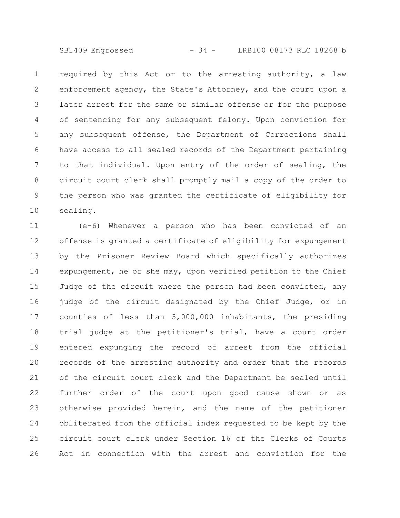SB1409 Engrossed - 34 - LRB100 08173 RLC 18268 b

required by this Act or to the arresting authority, a law enforcement agency, the State's Attorney, and the court upon a later arrest for the same or similar offense or for the purpose of sentencing for any subsequent felony. Upon conviction for any subsequent offense, the Department of Corrections shall have access to all sealed records of the Department pertaining to that individual. Upon entry of the order of sealing, the circuit court clerk shall promptly mail a copy of the order to the person who was granted the certificate of eligibility for sealing. 1 2 3 4 5 6 7 8 9 10

(e-6) Whenever a person who has been convicted of an offense is granted a certificate of eligibility for expungement by the Prisoner Review Board which specifically authorizes expungement, he or she may, upon verified petition to the Chief Judge of the circuit where the person had been convicted, any judge of the circuit designated by the Chief Judge, or in counties of less than 3,000,000 inhabitants, the presiding trial judge at the petitioner's trial, have a court order entered expunging the record of arrest from the official records of the arresting authority and order that the records of the circuit court clerk and the Department be sealed until further order of the court upon good cause shown or as otherwise provided herein, and the name of the petitioner obliterated from the official index requested to be kept by the circuit court clerk under Section 16 of the Clerks of Courts Act in connection with the arrest and conviction for the 11 12 13 14 15 16 17 18 19 20 21 22 23 24 25 26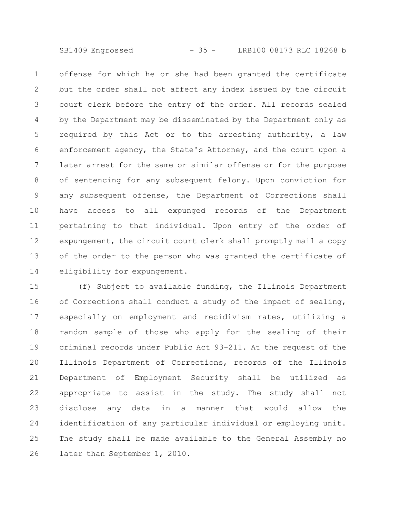SB1409 Engrossed - 35 - LRB100 08173 RLC 18268 b

offense for which he or she had been granted the certificate but the order shall not affect any index issued by the circuit court clerk before the entry of the order. All records sealed by the Department may be disseminated by the Department only as required by this Act or to the arresting authority, a law enforcement agency, the State's Attorney, and the court upon a later arrest for the same or similar offense or for the purpose of sentencing for any subsequent felony. Upon conviction for any subsequent offense, the Department of Corrections shall have access to all expunged records of the Department pertaining to that individual. Upon entry of the order of expungement, the circuit court clerk shall promptly mail a copy of the order to the person who was granted the certificate of eligibility for expungement. 1 2 3 4 5 6 7 8 9 10 11 12 13 14

(f) Subject to available funding, the Illinois Department of Corrections shall conduct a study of the impact of sealing, especially on employment and recidivism rates, utilizing a random sample of those who apply for the sealing of their criminal records under Public Act 93-211. At the request of the Illinois Department of Corrections, records of the Illinois Department of Employment Security shall be utilized as appropriate to assist in the study. The study shall not disclose any data in a manner that would allow the identification of any particular individual or employing unit. The study shall be made available to the General Assembly no later than September 1, 2010. 15 16 17 18 19 20 21 22 23 24 25 26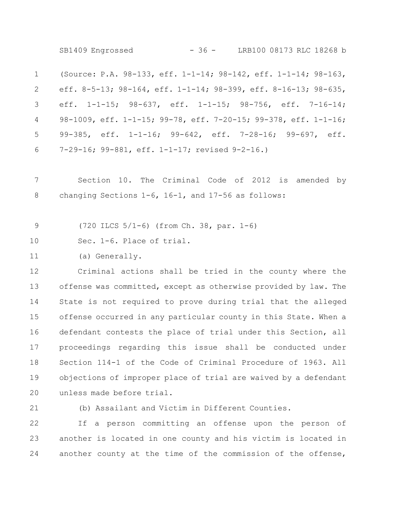SB1409 Engrossed - 36 - LRB100 08173 RLC 18268 b

(Source: P.A. 98-133, eff. 1-1-14; 98-142, eff. 1-1-14; 98-163, eff. 8-5-13; 98-164, eff. 1-1-14; 98-399, eff. 8-16-13; 98-635, eff. 1-1-15; 98-637, eff. 1-1-15; 98-756, eff. 7-16-14; 98-1009, eff. 1-1-15; 99-78, eff. 7-20-15; 99-378, eff. 1-1-16; 99-385, eff. 1-1-16; 99-642, eff. 7-28-16; 99-697, eff. 7-29-16; 99-881, eff. 1-1-17; revised 9-2-16.) 1 2 3 4 5 6

Section 10. The Criminal Code of 2012 is amended by changing Sections 1-6, 16-1, and 17-56 as follows: 7 8

(720 ILCS 5/1-6) (from Ch. 38, par. 1-6) 9

Sec. 1-6. Place of trial. 10

(a) Generally. 11

Criminal actions shall be tried in the county where the offense was committed, except as otherwise provided by law. The State is not required to prove during trial that the alleged offense occurred in any particular county in this State. When a defendant contests the place of trial under this Section, all proceedings regarding this issue shall be conducted under Section 114-1 of the Code of Criminal Procedure of 1963. All objections of improper place of trial are waived by a defendant unless made before trial. 12 13 14 15 16 17 18 19 20

21

(b) Assailant and Victim in Different Counties.

If a person committing an offense upon the person of another is located in one county and his victim is located in another county at the time of the commission of the offense, 22 23 24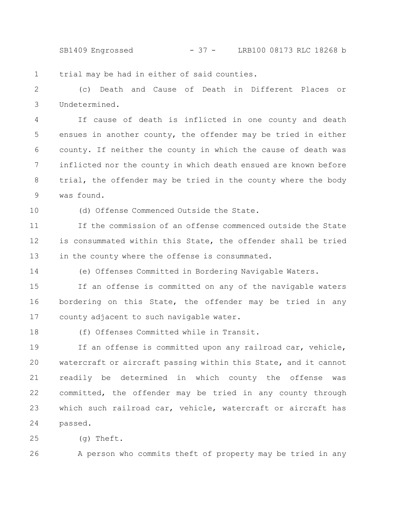SB1409 Engrossed - 37 - LRB100 08173 RLC 18268 b

trial may be had in either of said counties. 1

(c) Death and Cause of Death in Different Places or Undetermined. 2 3

If cause of death is inflicted in one county and death ensues in another county, the offender may be tried in either county. If neither the county in which the cause of death was inflicted nor the county in which death ensued are known before trial, the offender may be tried in the county where the body was found. 4 5 6 7 8 9

10

(d) Offense Commenced Outside the State.

If the commission of an offense commenced outside the State is consummated within this State, the offender shall be tried in the county where the offense is consummated. 11 12 13

14

(e) Offenses Committed in Bordering Navigable Waters.

If an offense is committed on any of the navigable waters bordering on this State, the offender may be tried in any county adjacent to such navigable water. 15 16 17

18

(f) Offenses Committed while in Transit.

If an offense is committed upon any railroad car, vehicle, watercraft or aircraft passing within this State, and it cannot readily be determined in which county the offense was committed, the offender may be tried in any county through which such railroad car, vehicle, watercraft or aircraft has passed. 19 20 21 22 23 24

(g) Theft. 25

26

A person who commits theft of property may be tried in any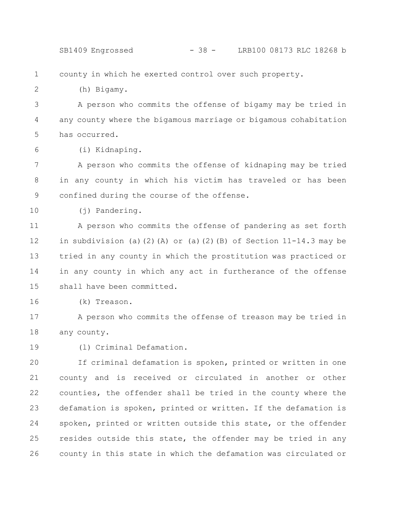SB1409 Engrossed - 38 - LRB100 08173 RLC 18268 b

county in which he exerted control over such property. 1

(h) Bigamy. 2

A person who commits the offense of bigamy may be tried in any county where the bigamous marriage or bigamous cohabitation has occurred. 3 4 5

(i) Kidnaping. 6

A person who commits the offense of kidnaping may be tried in any county in which his victim has traveled or has been confined during the course of the offense. 7 8 9

(i) Pandering. 10

A person who commits the offense of pandering as set forth in subdivision (a)(2)(A) or (a)(2)(B) of Section  $11-14.3$  may be tried in any county in which the prostitution was practiced or in any county in which any act in furtherance of the offense shall have been committed. 11 12 13 14 15

(k) Treason. 16

A person who commits the offense of treason may be tried in any county. 17 18

(l) Criminal Defamation. 19

If criminal defamation is spoken, printed or written in one county and is received or circulated in another or other counties, the offender shall be tried in the county where the defamation is spoken, printed or written. If the defamation is spoken, printed or written outside this state, or the offender resides outside this state, the offender may be tried in any county in this state in which the defamation was circulated or 20 21 22 23 24 25 26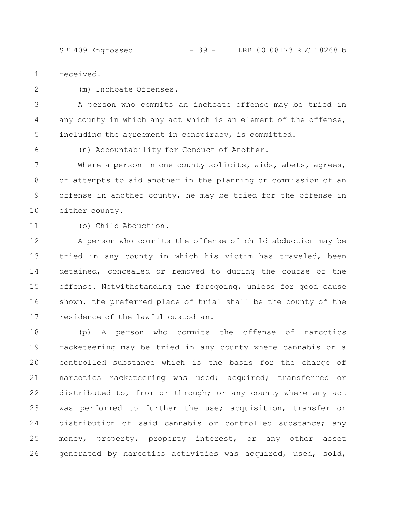SB1409 Engrossed - 39 - LRB100 08173 RLC 18268 b

received. 1

2

(m) Inchoate Offenses.

A person who commits an inchoate offense may be tried in any county in which any act which is an element of the offense, including the agreement in conspiracy, is committed. 3 4 5

(n) Accountability for Conduct of Another.

Where a person in one county solicits, aids, abets, agrees, or attempts to aid another in the planning or commission of an offense in another county, he may be tried for the offense in either county. 7 8 9 10

11

6

(o) Child Abduction.

A person who commits the offense of child abduction may be tried in any county in which his victim has traveled, been detained, concealed or removed to during the course of the offense. Notwithstanding the foregoing, unless for good cause shown, the preferred place of trial shall be the county of the residence of the lawful custodian. 12 13 14 15 16 17

(p) A person who commits the offense of narcotics racketeering may be tried in any county where cannabis or a controlled substance which is the basis for the charge of narcotics racketeering was used; acquired; transferred or distributed to, from or through; or any county where any act was performed to further the use; acquisition, transfer or distribution of said cannabis or controlled substance; any money, property, property interest, or any other asset generated by narcotics activities was acquired, used, sold, 18 19 20 21 22 23 24 25 26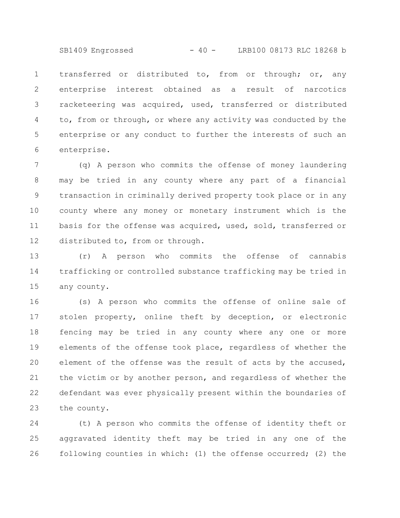SB1409 Engrossed - 40 - LRB100 08173 RLC 18268 b

transferred or distributed to, from or through; or, any enterprise interest obtained as a result of narcotics racketeering was acquired, used, transferred or distributed to, from or through, or where any activity was conducted by the enterprise or any conduct to further the interests of such an enterprise. 1 2 3 4 5 6

(q) A person who commits the offense of money laundering may be tried in any county where any part of a financial transaction in criminally derived property took place or in any county where any money or monetary instrument which is the basis for the offense was acquired, used, sold, transferred or distributed to, from or through. 7 8 9 10 11 12

(r) A person who commits the offense of cannabis trafficking or controlled substance trafficking may be tried in any county. 13 14 15

(s) A person who commits the offense of online sale of stolen property, online theft by deception, or electronic fencing may be tried in any county where any one or more elements of the offense took place, regardless of whether the element of the offense was the result of acts by the accused, the victim or by another person, and regardless of whether the defendant was ever physically present within the boundaries of the county. 16 17 18 19 20 21 22 23

(t) A person who commits the offense of identity theft or aggravated identity theft may be tried in any one of the following counties in which: (1) the offense occurred; (2) the 24 25 26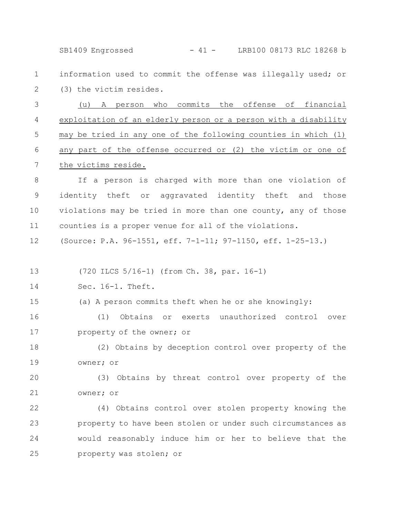information used to commit the offense was illegally used; or (3) the victim resides. (u) A person who commits the offense of financial exploitation of an elderly person or a person with a disability may be tried in any one of the following counties in which (1) any part of the offense occurred or (2) the victim or one of the victims reside. If a person is charged with more than one violation of identity theft or aggravated identity theft and those violations may be tried in more than one county, any of those counties is a proper venue for all of the violations. (Source: P.A. 96-1551, eff. 7-1-11; 97-1150, eff. 1-25-13.) (720 ILCS 5/16-1) (from Ch. 38, par. 16-1) Sec. 16-1. Theft. (a) A person commits theft when he or she knowingly: (1) Obtains or exerts unauthorized control over property of the owner; or (2) Obtains by deception control over property of the owner; or (3) Obtains by threat control over property of the owner; or (4) Obtains control over stolen property knowing the property to have been stolen or under such circumstances as would reasonably induce him or her to believe that the property was stolen; or 1 2 3 4 5 6 7 8 9 10 11 12 13 14 15 16 17 18 19 20 21 22 23 24 25 SB1409 Engrossed - 41 - LRB100 08173 RLC 18268 b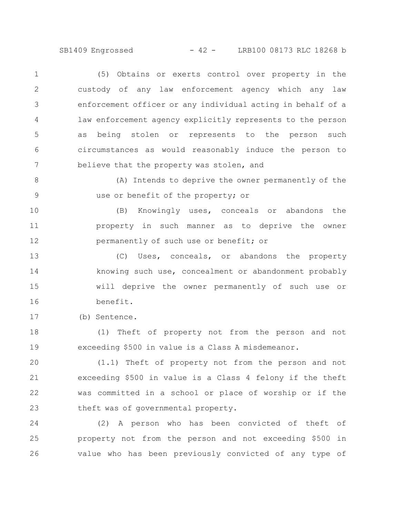SB1409 Engrossed - 42 - LRB100 08173 RLC 18268 b

(5) Obtains or exerts control over property in the custody of any law enforcement agency which any law enforcement officer or any individual acting in behalf of a law enforcement agency explicitly represents to the person as being stolen or represents to the person such circumstances as would reasonably induce the person to believe that the property was stolen, and 1 2 3 4 5 6 7

(A) Intends to deprive the owner permanently of the use or benefit of the property; or 8 9

(B) Knowingly uses, conceals or abandons the property in such manner as to deprive the owner permanently of such use or benefit; or 10 11 12

(C) Uses, conceals, or abandons the property knowing such use, concealment or abandonment probably will deprive the owner permanently of such use or benefit. 13 14 15 16

(b) Sentence. 17

(1) Theft of property not from the person and not exceeding \$500 in value is a Class A misdemeanor. 18 19

(1.1) Theft of property not from the person and not exceeding \$500 in value is a Class 4 felony if the theft was committed in a school or place of worship or if the theft was of governmental property. 20 21 22 23

(2) A person who has been convicted of theft of property not from the person and not exceeding \$500 in value who has been previously convicted of any type of 24 25 26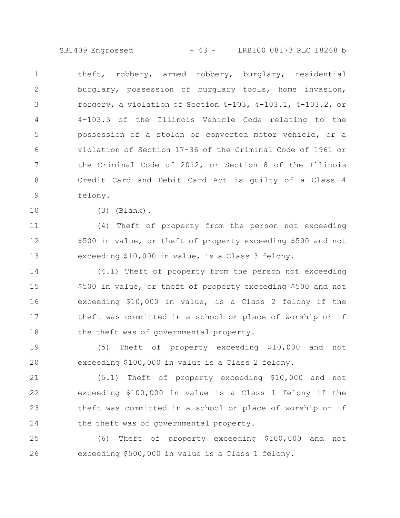SB1409 Engrossed - 43 - LRB100 08173 RLC 18268 b

theft, robbery, armed robbery, burglary, residential burglary, possession of burglary tools, home invasion, forgery, a violation of Section 4-103, 4-103.1, 4-103.2, or 4-103.3 of the Illinois Vehicle Code relating to the possession of a stolen or converted motor vehicle, or a violation of Section 17-36 of the Criminal Code of 1961 or the Criminal Code of 2012, or Section 8 of the Illinois Credit Card and Debit Card Act is guilty of a Class 4 felony. 1 2 3 4 5 6 7 8 9

10

(3) (Blank).

(4) Theft of property from the person not exceeding \$500 in value, or theft of property exceeding \$500 and not exceeding \$10,000 in value, is a Class 3 felony. 11 12 13

(4.1) Theft of property from the person not exceeding \$500 in value, or theft of property exceeding \$500 and not exceeding \$10,000 in value, is a Class 2 felony if the theft was committed in a school or place of worship or if the theft was of governmental property. 14 15 16 17 18

(5) Theft of property exceeding \$10,000 and not exceeding \$100,000 in value is a Class 2 felony. 19 20

(5.1) Theft of property exceeding \$10,000 and not exceeding \$100,000 in value is a Class 1 felony if the theft was committed in a school or place of worship or if the theft was of governmental property. 21 22 23 24

(6) Theft of property exceeding \$100,000 and not exceeding \$500,000 in value is a Class 1 felony. 25 26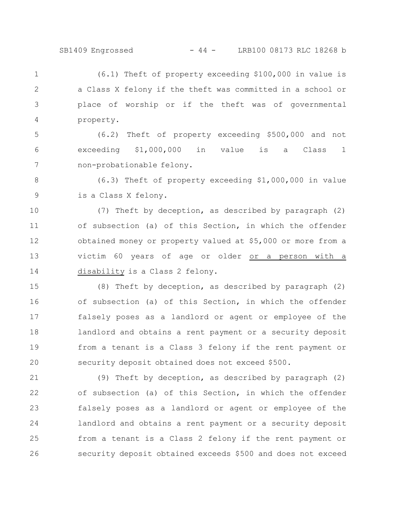## SB1409 Engrossed - 44 - LRB100 08173 RLC 18268 b

(6.1) Theft of property exceeding \$100,000 in value is a Class X felony if the theft was committed in a school or place of worship or if the theft was of governmental property. 1 2 3 4

(6.2) Theft of property exceeding \$500,000 and not exceeding \$1,000,000 in value is a Class 1 non-probationable felony. 5 6 7

(6.3) Theft of property exceeding \$1,000,000 in value is a Class X felony. 8 9

(7) Theft by deception, as described by paragraph (2) of subsection (a) of this Section, in which the offender obtained money or property valued at \$5,000 or more from a victim 60 years of age or older or a person with a disability is a Class 2 felony. 10 11 12 13 14

(8) Theft by deception, as described by paragraph (2) of subsection (a) of this Section, in which the offender falsely poses as a landlord or agent or employee of the landlord and obtains a rent payment or a security deposit from a tenant is a Class 3 felony if the rent payment or security deposit obtained does not exceed \$500. 15 16 17 18 19 20

(9) Theft by deception, as described by paragraph (2) of subsection (a) of this Section, in which the offender falsely poses as a landlord or agent or employee of the landlord and obtains a rent payment or a security deposit from a tenant is a Class 2 felony if the rent payment or security deposit obtained exceeds \$500 and does not exceed 21 22 23 24 25 26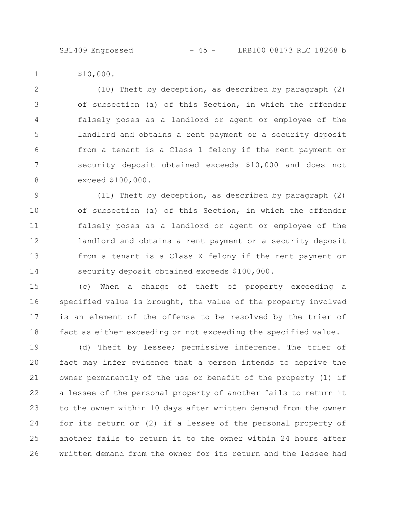\$10,000. 1

(10) Theft by deception, as described by paragraph (2) of subsection (a) of this Section, in which the offender falsely poses as a landlord or agent or employee of the landlord and obtains a rent payment or a security deposit from a tenant is a Class 1 felony if the rent payment or security deposit obtained exceeds \$10,000 and does not exceed \$100,000. 2 3 4 5 6 7 8

(11) Theft by deception, as described by paragraph (2) of subsection (a) of this Section, in which the offender falsely poses as a landlord or agent or employee of the landlord and obtains a rent payment or a security deposit from a tenant is a Class X felony if the rent payment or security deposit obtained exceeds \$100,000. 9 10 11 12 13 14

(c) When a charge of theft of property exceeding a specified value is brought, the value of the property involved is an element of the offense to be resolved by the trier of fact as either exceeding or not exceeding the specified value. 15 16 17 18

(d) Theft by lessee; permissive inference. The trier of fact may infer evidence that a person intends to deprive the owner permanently of the use or benefit of the property (1) if a lessee of the personal property of another fails to return it to the owner within 10 days after written demand from the owner for its return or (2) if a lessee of the personal property of another fails to return it to the owner within 24 hours after written demand from the owner for its return and the lessee had 19 20 21 22 23 24 25 26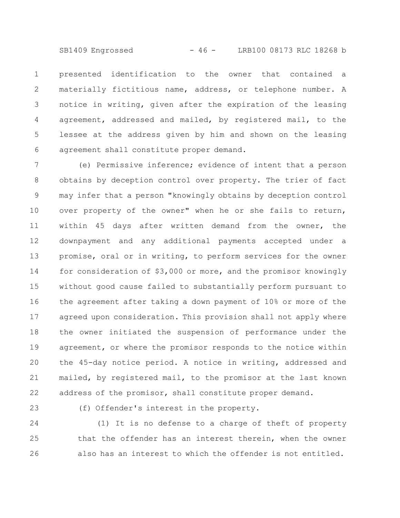SB1409 Engrossed - 46 - LRB100 08173 RLC 18268 b

presented identification to the owner that contained a materially fictitious name, address, or telephone number. A notice in writing, given after the expiration of the leasing agreement, addressed and mailed, by registered mail, to the lessee at the address given by him and shown on the leasing agreement shall constitute proper demand. 1 2 3 4 5 6

(e) Permissive inference; evidence of intent that a person obtains by deception control over property. The trier of fact may infer that a person "knowingly obtains by deception control over property of the owner" when he or she fails to return, within 45 days after written demand from the owner, the downpayment and any additional payments accepted under a promise, oral or in writing, to perform services for the owner for consideration of \$3,000 or more, and the promisor knowingly without good cause failed to substantially perform pursuant to the agreement after taking a down payment of 10% or more of the agreed upon consideration. This provision shall not apply where the owner initiated the suspension of performance under the agreement, or where the promisor responds to the notice within the 45-day notice period. A notice in writing, addressed and mailed, by registered mail, to the promisor at the last known address of the promisor, shall constitute proper demand. 7 8 9 10 11 12 13 14 15 16 17 18 19 20 21 22

23

(f) Offender's interest in the property.

(1) It is no defense to a charge of theft of property that the offender has an interest therein, when the owner also has an interest to which the offender is not entitled. 24 25 26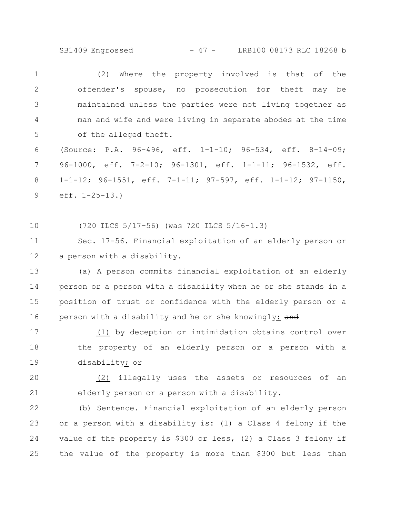SB1409 Engrossed - 47 - LRB100 08173 RLC 18268 b

(2) Where the property involved is that of the offender's spouse, no prosecution for theft may be maintained unless the parties were not living together as man and wife and were living in separate abodes at the time of the alleged theft. 1 2 3 4 5

(Source: P.A. 96-496, eff. 1-1-10; 96-534, eff. 8-14-09; 96-1000, eff. 7-2-10; 96-1301, eff. 1-1-11; 96-1532, eff. 1-1-12; 96-1551, eff. 7-1-11; 97-597, eff. 1-1-12; 97-1150, eff. 1-25-13.) 6 7 8 9

10

(720 ILCS 5/17-56) (was 720 ILCS 5/16-1.3)

Sec. 17-56. Financial exploitation of an elderly person or a person with a disability. 11 12

(a) A person commits financial exploitation of an elderly person or a person with a disability when he or she stands in a position of trust or confidence with the elderly person or a person with a disability and he or she knowingly: and 13 14 15 16

(1) by deception or intimidation obtains control over the property of an elderly person or a person with a disability; or 17 18 19

(2) illegally uses the assets or resources of an elderly person or a person with a disability. 20 21

(b) Sentence. Financial exploitation of an elderly person or a person with a disability is: (1) a Class 4 felony if the value of the property is \$300 or less, (2) a Class 3 felony if the value of the property is more than \$300 but less than 22 23 24 25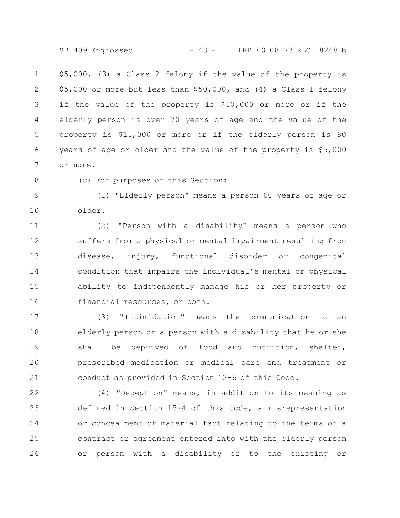SB1409 Engrossed - 48 - LRB100 08173 RLC 18268 b

\$5,000, (3) a Class 2 felony if the value of the property is \$5,000 or more but less than \$50,000, and (4) a Class 1 felony if the value of the property is \$50,000 or more or if the elderly person is over 70 years of age and the value of the property is \$15,000 or more or if the elderly person is 80 years of age or older and the value of the property is \$5,000 or more. 1 2 3 4 5 6 7

8

(c) For purposes of this Section:

(1) "Elderly person" means a person 60 years of age or older. 9 10

(2) "Person with a disability" means a person who suffers from a physical or mental impairment resulting from disease, injury, functional disorder or congenital condition that impairs the individual's mental or physical ability to independently manage his or her property or financial resources, or both. 11 12 13 14 15 16

(3) "Intimidation" means the communication to an elderly person or a person with a disability that he or she shall be deprived of food and nutrition, shelter, prescribed medication or medical care and treatment or conduct as provided in Section 12-6 of this Code. 17 18 19 20 21

(4) "Deception" means, in addition to its meaning as defined in Section 15-4 of this Code, a misrepresentation or concealment of material fact relating to the terms of a contract or agreement entered into with the elderly person or person with a disability or to the existing or 22 23 24 25 26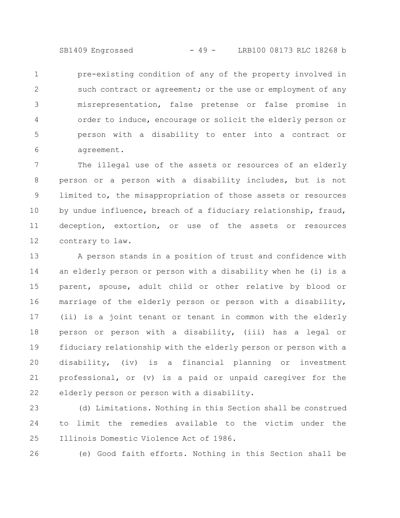SB1409 Engrossed - 49 - LRB100 08173 RLC 18268 b

pre-existing condition of any of the property involved in such contract or agreement; or the use or employment of any misrepresentation, false pretense or false promise in order to induce, encourage or solicit the elderly person or person with a disability to enter into a contract or agreement. 1 2 3 4 5 6

The illegal use of the assets or resources of an elderly person or a person with a disability includes, but is not limited to, the misappropriation of those assets or resources by undue influence, breach of a fiduciary relationship, fraud, deception, extortion, or use of the assets or resources contrary to law. 7 8 9 10 11 12

A person stands in a position of trust and confidence with an elderly person or person with a disability when he (i) is a parent, spouse, adult child or other relative by blood or marriage of the elderly person or person with a disability, (ii) is a joint tenant or tenant in common with the elderly person or person with a disability, (iii) has a legal or fiduciary relationship with the elderly person or person with a disability, (iv) is a financial planning or investment professional, or (v) is a paid or unpaid caregiver for the elderly person or person with a disability. 13 14 15 16 17 18 19 20 21 22

(d) Limitations. Nothing in this Section shall be construed to limit the remedies available to the victim under the Illinois Domestic Violence Act of 1986. 23 24 25

26

(e) Good faith efforts. Nothing in this Section shall be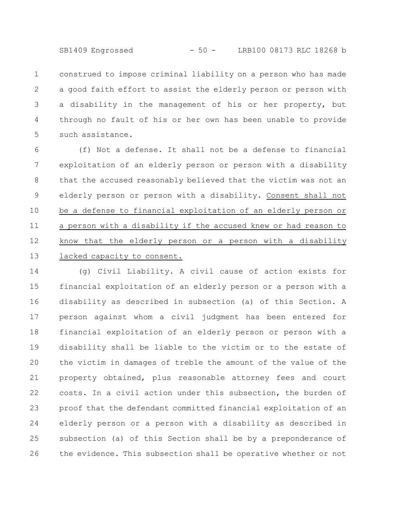construed to impose criminal liability on a person who has made a good faith effort to assist the elderly person or person with a disability in the management of his or her property, but through no fault of his or her own has been unable to provide such assistance. 1 2 3 4 5

(f) Not a defense. It shall not be a defense to financial exploitation of an elderly person or person with a disability that the accused reasonably believed that the victim was not an elderly person or person with a disability. Consent shall not be a defense to financial exploitation of an elderly person or a person with a disability if the accused knew or had reason to know that the elderly person or a person with a disability lacked capacity to consent. 6 7 8 9 10 11 12 13

(g) Civil Liability. A civil cause of action exists for financial exploitation of an elderly person or a person with a disability as described in subsection (a) of this Section. A person against whom a civil judgment has been entered for financial exploitation of an elderly person or person with a disability shall be liable to the victim or to the estate of the victim in damages of treble the amount of the value of the property obtained, plus reasonable attorney fees and court costs. In a civil action under this subsection, the burden of proof that the defendant committed financial exploitation of an elderly person or a person with a disability as described in subsection (a) of this Section shall be by a preponderance of the evidence. This subsection shall be operative whether or not 14 15 16 17 18 19 20 21 22 23 24 25 26